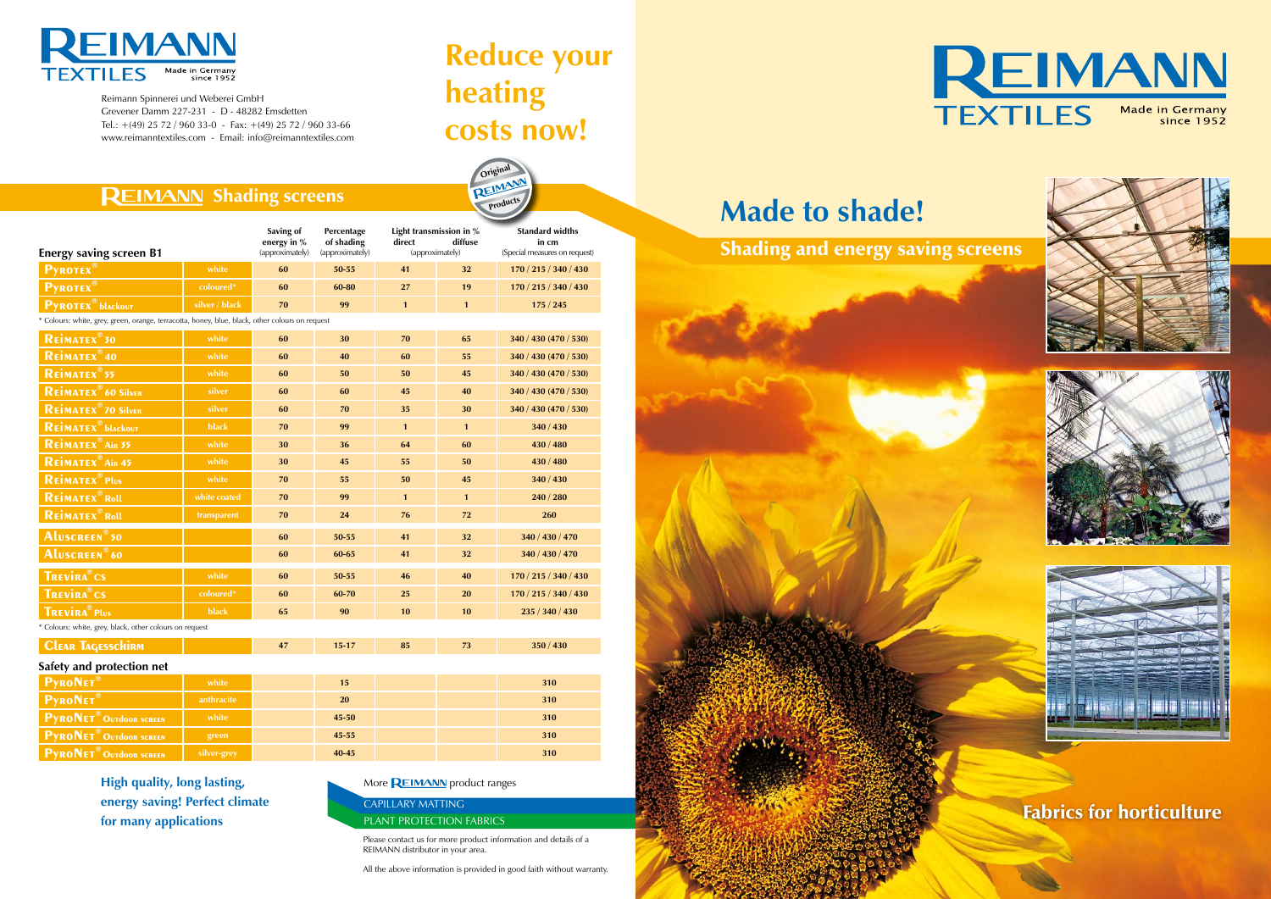

Reimann Spinnerei und Weberei GmbH Grevener Damm 227-231 - D - 48282 Emsdetten Tel.:  $+(49)$  25 72 / 960 33-0 - Fax:  $+(49)$  25 72 / 960 33-66 www.reimanntextiles.com - Email: info@reimanntextiles.com

# **Reduce your heating costs now!**

**Original** 

**Products** 



# **Made to shade!**

| <b>Energy saving screen B1</b>                                                                |                | Saving of<br>energy in %<br>(approximately) | Percentage<br>of shading<br>(approximately) | Light transmission in %<br>direct<br>diffuse<br>(approximately) |              | <b>Standard widths</b><br>in cm<br>(Special measures on request) |
|-----------------------------------------------------------------------------------------------|----------------|---------------------------------------------|---------------------------------------------|-----------------------------------------------------------------|--------------|------------------------------------------------------------------|
| <b>PYROTEX®</b>                                                                               | white          | 60                                          | 50-55                                       | 41                                                              | 32           | 170 / 215 / 340 / 430                                            |
| <b>PYROTEX®</b>                                                                               | coloured*      | 60                                          | 60-80                                       | 27                                                              | 19           | 170 / 215 / 340 / 430                                            |
| <b>PYROTEX</b> <sup>®</sup> blackout                                                          | silver / black | 70                                          | 99                                          | $\mathbf{1}$                                                    | $\mathbf{1}$ | 175/245                                                          |
| Colours: white, grey, green, orange, terracotta, honey, blue, black, other colours on request |                |                                             |                                             |                                                                 |              |                                                                  |
| REIMATEX <sup>®</sup> 30                                                                      | white          | 60                                          | 30                                          | 70                                                              | 65           | 340 / 430 (470 / 530)                                            |
| REIMATEX <sup>®</sup> 40                                                                      | white          | 60                                          | 40                                          | 60                                                              | 55           | 340 / 430 (470 / 530)                                            |
| REIMATEX <sup>®</sup> 55                                                                      | white          | 60                                          | 50                                          | 50                                                              | 45           | 340 / 430 (470 / 530)                                            |
| <b>REIMATEX<sup>®</sup> 60 Silver</b>                                                         | silver         | 60                                          | 60                                          | 45                                                              | 40           | 340 / 430 (470 / 530)                                            |
| <b>REIMATEX<sup>®</sup>70 Silver</b>                                                          | silver         | 60                                          | 70                                          | 35                                                              | 30           | 340 / 430 (470 / 530)                                            |
| <b>REIMATEX</b> blackout                                                                      | black          | 70                                          | 99                                          | $\mathbf{1}$                                                    | $\mathbf{1}$ | 340 / 430                                                        |
| REIMATEX <sup>®</sup> Air 35                                                                  | white          | 30                                          | 36                                          | 64                                                              | 60           | 430 / 480                                                        |
| REIMATEX <sup>®</sup> Air 45                                                                  | white          | 30                                          | 45                                          | 55                                                              | 50           | 430 / 480                                                        |
| <b>REIMATEX</b> <sup>®</sup> Plus                                                             | white          | 70                                          | 55                                          | 50                                                              | 45           | 340 / 430                                                        |
| REIMATEX <sup>®</sup> Roll                                                                    | white coated   | 70                                          | 99                                          | $\mathbf{1}$                                                    | $\mathbf{1}$ | 240 / 280                                                        |
| <b>REIMATEX</b> Roll                                                                          | transparent    | 70                                          | 24                                          | 76                                                              | 72           | 260                                                              |
| Aluscreen <sup>®</sup> 50                                                                     |                | 60                                          | 50-55                                       | 41                                                              | 32           | 340 / 430 / 470                                                  |
| ALUSCREEN®60                                                                                  |                | 60                                          | 60-65                                       | 41                                                              | 32           | 340 / 430 / 470                                                  |
| <b>TREVIRA</b> <sup>®</sup> CS                                                                | white          | 60                                          | 50-55                                       | 46                                                              | 40           | 170 / 215 / 340 / 430                                            |
| <b>TREVIRA</b> ®CS                                                                            | coloured*      | 60                                          | 60-70                                       | 25                                                              | 20           | 170 / 215 / 340 / 430                                            |
| <b>TREVIRA</b> ® Plus                                                                         | black          | 65                                          | 90                                          | 10                                                              | 10           | 235 / 340 / 430                                                  |
| * Colours: white, grey, black, other colours on request                                       |                |                                             |                                             |                                                                 |              |                                                                  |
| <b>CLEAR TAGESSCHIRM</b>                                                                      |                | 47                                          | $15 - 17$                                   | 85                                                              | 73           | 350/430                                                          |
| Safety and protection net                                                                     |                |                                             |                                             |                                                                 |              |                                                                  |
|                                                                                               |                |                                             |                                             |                                                                 |              |                                                                  |

| $\frac{1}{2}$                             |             |           |  |     |  |  |  |  |
|-------------------------------------------|-------------|-----------|--|-----|--|--|--|--|
| <b>PyRONET®</b>                           | white       | 15        |  | 310 |  |  |  |  |
| <b>PyRONET®</b>                           | anthracite  | <b>20</b> |  | 310 |  |  |  |  |
| <b>PYRONET<sup>®</sup> OUTdoor SCREEN</b> | white       | $45 - 50$ |  | 310 |  |  |  |  |
| <b>PYRONET<sup>®</sup>OUTdoor SCREEN</b>  | green       | $45 - 55$ |  | 310 |  |  |  |  |
| <b>PYRONET<sup>®</sup> OUTdoor SCREEN</b> | silver-grey | $40 - 45$ |  | 310 |  |  |  |  |

Shading and energy saving screens



## **REIMANN Shading screens**

Fabrics for horticulture

Please contact us for more product information and details of a REIMANN distributor in your area.

All the above information is provided in good faith without warranty.







### CAPILLARY MATTING PLANT PROTECTION FABRICS

**High quality, long lasting, energy saving! Perfect climate for many applications**

### More **REIMANN** product ranges